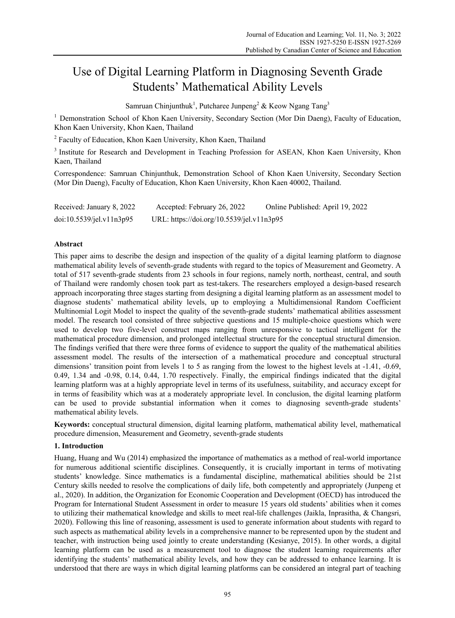# Use of Digital Learning Platform in Diagnosing Seventh Grade Students' Mathematical Ability Levels

Samruan Chinjunthuk<sup>1</sup>, Putcharee Junpeng<sup>2</sup> & Keow Ngang Tang<sup>3</sup>

<sup>1</sup> Demonstration School of Khon Kaen University, Secondary Section (Mor Din Daeng), Faculty of Education, Khon Kaen University, Khon Kaen, Thailand

<sup>2</sup> Faculty of Education, Khon Kaen University, Khon Kaen, Thailand

<sup>3</sup> Institute for Research and Development in Teaching Profession for ASEAN, Khon Kaen University, Khon Kaen, Thailand

Correspondence: Samruan Chinjunthuk, Demonstration School of Khon Kaen University, Secondary Section (Mor Din Daeng), Faculty of Education, Khon Kaen University, Khon Kaen 40002, Thailand.

| Received: January 8, 2022 | Accepted: February 26, 2022               | Online Published: April 19, 2022 |
|---------------------------|-------------------------------------------|----------------------------------|
| doi:10.5539/jel.v11n3p95  | URL: https://doi.org/10.5539/jel.v11n3p95 |                                  |

# **Abstract**

This paper aims to describe the design and inspection of the quality of a digital learning platform to diagnose mathematical ability levels of seventh-grade students with regard to the topics of Measurement and Geometry. A total of 517 seventh-grade students from 23 schools in four regions, namely north, northeast, central, and south of Thailand were randomly chosen took part as test-takers. The researchers employed a design-based research approach incorporating three stages starting from designing a digital learning platform as an assessment model to diagnose students' mathematical ability levels, up to employing a Multidimensional Random Coefficient Multinomial Logit Model to inspect the quality of the seventh-grade students' mathematical abilities assessment model. The research tool consisted of three subjective questions and 15 multiple-choice questions which were used to develop two five-level construct maps ranging from unresponsive to tactical intelligent for the mathematical procedure dimension, and prolonged intellectual structure for the conceptual structural dimension. The findings verified that there were three forms of evidence to support the quality of the mathematical abilities assessment model. The results of the intersection of a mathematical procedure and conceptual structural dimensions' transition point from levels 1 to 5 as ranging from the lowest to the highest levels at -1.41, -0.69, 0.49, 1.34 and -0.98, 0.14, 0.44, 1.70 respectively. Finally, the empirical findings indicated that the digital learning platform was at a highly appropriate level in terms of its usefulness, suitability, and accuracy except for in terms of feasibility which was at a moderately appropriate level. In conclusion, the digital learning platform can be used to provide substantial information when it comes to diagnosing seventh-grade students' mathematical ability levels.

**Keywords:** conceptual structural dimension, digital learning platform, mathematical ability level, mathematical procedure dimension, Measurement and Geometry, seventh-grade students

### **1. Introduction**

Huang, Huang and Wu (2014) emphasized the importance of mathematics as a method of real-world importance for numerous additional scientific disciplines. Consequently, it is crucially important in terms of motivating students' knowledge. Since mathematics is a fundamental discipline, mathematical abilities should be 21st Century skills needed to resolve the complications of daily life, both competently and appropriately (Junpeng et al., 2020). In addition, the Organization for Economic Cooperation and Development (OECD) has introduced the Program for International Student Assessment in order to measure 15 years old students' abilities when it comes to utilizing their mathematical knowledge and skills to meet real-life challenges (Jaikla, Inprasitha, & Changsri, 2020). Following this line of reasoning, assessment is used to generate information about students with regard to such aspects as mathematical ability levels in a comprehensive manner to be represented upon by the student and teacher, with instruction being used jointly to create understanding (Kesianye, 2015). In other words, a digital learning platform can be used as a measurement tool to diagnose the student learning requirements after identifying the students' mathematical ability levels, and how they can be addressed to enhance learning. It is understood that there are ways in which digital learning platforms can be considered an integral part of teaching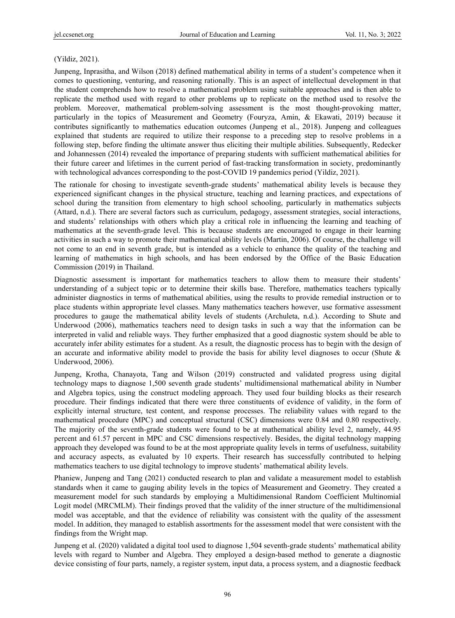# (Yildiz, 2021).

Junpeng, Inprasitha, and Wilson (2018) defined mathematical ability in terms of a student's competence when it comes to questioning, venturing, and reasoning rationally. This is an aspect of intellectual development in that the student comprehends how to resolve a mathematical problem using suitable approaches and is then able to replicate the method used with regard to other problems up to replicate on the method used to resolve the problem. Moreover, mathematical problem-solving assessment is the most thought-provoking matter, particularly in the topics of Measurement and Geometry (Fouryza, Amin, & Ekawati, 2019) because it contributes significantly to mathematics education outcomes (Junpeng et al., 2018). Junpeng and colleagues explained that students are required to utilize their response to a preceding step to resolve problems in a following step, before finding the ultimate answer thus eliciting their multiple abilities. Subsequently, Redecker and Johannessen (2014) revealed the importance of preparing students with sufficient mathematical abilities for their future career and lifetimes in the current period of fast-tracking transformation in society, predominantly with technological advances corresponding to the post-COVID 19 pandemics period (Yildiz, 2021).

The rationale for chosing to investigate seventh-grade students' mathematical ability levels is because they experienced significant changes in the physical structure, teaching and learning practices, and expectations of school during the transition from elementary to high school schooling, particularly in mathematics subjects (Attard, n.d.). There are several factors such as curriculum, pedagogy, assessment strategies, social interactions, and students' relationships with others which play a critical role in influencing the learning and teaching of mathematics at the seventh-grade level. This is because students are encouraged to engage in their learning activities in such a way to promote their mathematical ability levels (Martin, 2006). Of course, the challenge will not come to an end in seventh grade, but is intended as a vehicle to enhance the quality of the teaching and learning of mathematics in high schools, and has been endorsed by the Office of the Basic Education Commission (2019) in Thailand.

Diagnostic assessment is important for mathematics teachers to allow them to measure their students' understanding of a subject topic or to determine their skills base. Therefore, mathematics teachers typically administer diagnostics in terms of mathematical abilities, using the results to provide remedial instruction or to place students within appropriate level classes. Many mathematics teachers however, use formative assessment procedures to gauge the mathematical ability levels of students (Archuleta, n.d.). According to Shute and Underwood (2006), mathematics teachers need to design tasks in such a way that the information can be interpreted in valid and reliable ways. They further emphasized that a good diagnostic system should be able to accurately infer ability estimates for a student. As a result, the diagnostic process has to begin with the design of an accurate and informative ability model to provide the basis for ability level diagnoses to occur (Shute  $\&$ Underwood, 2006).

Junpeng, Krotha, Chanayota, Tang and Wilson (2019) constructed and validated progress using digital technology maps to diagnose 1,500 seventh grade students' multidimensional mathematical ability in Number and Algebra topics, using the construct modeling approach. They used four building blocks as their research procedure. Their findings indicated that there were three constituents of evidence of validity, in the form of explicitly internal structure, test content, and response processes. The reliability values with regard to the mathematical procedure (MPC) and conceptual structural (CSC) dimensions were 0.84 and 0.80 respectively. The majority of the seventh-grade students were found to be at mathematical ability level 2, namely, 44.95 percent and 61.57 percent in MPC and CSC dimensions respectively. Besides, the digital technology mapping approach they developed was found to be at the most appropriate quality levels in terms of usefulness, suitability and accuracy aspects, as evaluated by 10 experts. Their research has successfully contributed to helping mathematics teachers to use digital technology to improve students' mathematical ability levels.

Phaniew, Junpeng and Tang (2021) conducted research to plan and validate a measurement model to establish standards when it came to gauging ability levels in the topics of Measurement and Geometry. They created a measurement model for such standards by employing a Multidimensional Random Coefficient Multinomial Logit model (MRCMLM). Their findings proved that the validity of the inner structure of the multidimensional model was acceptable, and that the evidence of reliability was consistent with the quality of the assessment model. In addition, they managed to establish assortments for the assessment model that were consistent with the findings from the Wright map.

Junpeng et al. (2020) validated a digital tool used to diagnose 1,504 seventh-grade students' mathematical ability levels with regard to Number and Algebra. They employed a design-based method to generate a diagnostic device consisting of four parts, namely, a register system, input data, a process system, and a diagnostic feedback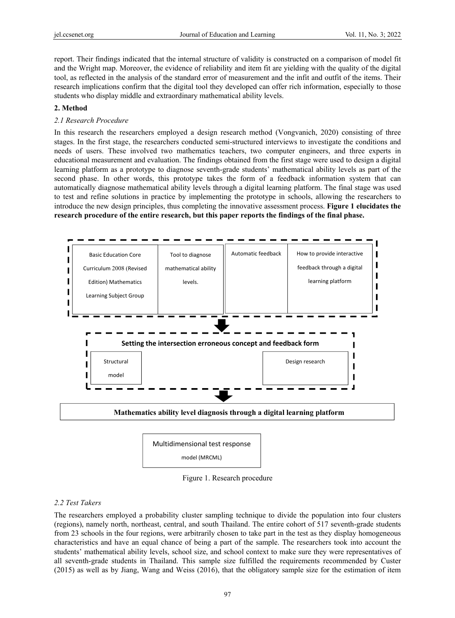report. Their findings indicated that the internal structure of validity is constructed on a comparison of model fit and the Wright map. Moreover, the evidence of reliability and item fit are yielding with the quality of the digital tool, as reflected in the analysis of the standard error of measurement and the infit and outfit of the items. Their research implications confirm that the digital tool they developed can offer rich information, especially to those students who display middle and extraordinary mathematical ability levels.

### **2. Method**

# *2.1 Research Procedure*

In this research the researchers employed a design research method (Vongvanich, 2020) consisting of three stages. In the first stage, the researchers conducted semi-structured interviews to investigate the conditions and needs of users. These involved two mathematics teachers, two computer engineers, and three experts in educational measurement and evaluation. The findings obtained from the first stage were used to design a digital learning platform as a prototype to diagnose seventh-grade students' mathematical ability levels as part of the second phase. In other words, this prototype takes the form of a feedback information system that can automatically diagnose mathematical ability levels through a digital learning platform. The final stage was used to test and refine solutions in practice by implementing the prototype in schools, allowing the researchers to introduce the new design principles, thus completing the innovative assessment process. **Figure 1 elucidates the research procedure of the entire research, but this paper reports the findings of the final phase.** 



model (MRCML)

Figure 1. Research procedure

### *2.2 Test Takers*

The researchers employed a probability cluster sampling technique to divide the population into four clusters (regions), namely north, northeast, central, and south Thailand. The entire cohort of 517 seventh-grade students from 23 schools in the four regions, were arbitrarily chosen to take part in the test as they display homogeneous characteristics and have an equal chance of being a part of the sample. The researchers took into account the students' mathematical ability levels, school size, and school context to make sure they were representatives of all seventh-grade students in Thailand. This sample size fulfilled the requirements recommended by Custer (2015) as well as by Jiang, Wang and Weiss (2016), that the obligatory sample size for the estimation of item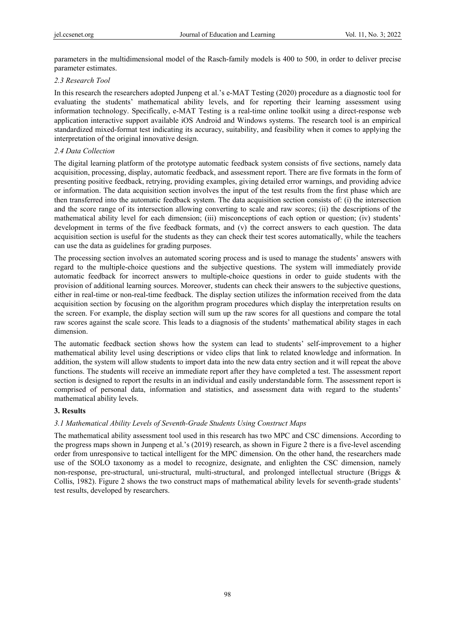parameters in the multidimensional model of the Rasch-family models is 400 to 500, in order to deliver precise parameter estimates.

# *2.3 Research Tool*

In this research the researchers adopted Junpeng et al.'s e-MAT Testing (2020) procedure as a diagnostic tool for evaluating the students' mathematical ability levels, and for reporting their learning assessment using information technology. Specifically, e-MAT Testing is a real-time online toolkit using a direct-response web application interactive support available iOS Android and Windows systems. The research tool is an empirical standardized mixed-format test indicating its accuracy, suitability, and feasibility when it comes to applying the interpretation of the original innovative design.

# *2.4 Data Collection*

The digital learning platform of the prototype automatic feedback system consists of five sections, namely data acquisition, processing, display, automatic feedback, and assessment report. There are five formats in the form of presenting positive feedback, retrying, providing examples, giving detailed error warnings, and providing advice or information. The data acquisition section involves the input of the test results from the first phase which are then transferred into the automatic feedback system. The data acquisition section consists of: (i) the intersection and the score range of its intersection allowing converting to scale and raw scores; (ii) the descriptions of the mathematical ability level for each dimension; (iii) misconceptions of each option or question; (iv) students' development in terms of the five feedback formats, and (v) the correct answers to each question. The data acquisition section is useful for the students as they can check their test scores automatically, while the teachers can use the data as guidelines for grading purposes.

The processing section involves an automated scoring process and is used to manage the students' answers with regard to the multiple-choice questions and the subjective questions. The system will immediately provide automatic feedback for incorrect answers to multiple-choice questions in order to guide students with the provision of additional learning sources. Moreover, students can check their answers to the subjective questions, either in real-time or non-real-time feedback. The display section utilizes the information received from the data acquisition section by focusing on the algorithm program procedures which display the interpretation results on the screen. For example, the display section will sum up the raw scores for all questions and compare the total raw scores against the scale score. This leads to a diagnosis of the students' mathematical ability stages in each dimension.

The automatic feedback section shows how the system can lead to students' self-improvement to a higher mathematical ability level using descriptions or video clips that link to related knowledge and information. In addition, the system will allow students to import data into the new data entry section and it will repeat the above functions. The students will receive an immediate report after they have completed a test. The assessment report section is designed to report the results in an individual and easily understandable form. The assessment report is comprised of personal data, information and statistics, and assessment data with regard to the students' mathematical ability levels.

### **3. Results**

# *3.1 Mathematical Ability Levels of Seventh-Grade Students Using Construct Maps*

The mathematical ability assessment tool used in this research has two MPC and CSC dimensions. According to the progress maps shown in Junpeng et al.'s (2019) research, as shown in Figure 2 there is a five-level ascending order from unresponsive to tactical intelligent for the MPC dimension. On the other hand, the researchers made use of the SOLO taxonomy as a model to recognize, designate, and enlighten the CSC dimension, namely non-response, pre-structural, uni-structural, multi-structural, and prolonged intellectual structure (Briggs & Collis, 1982). Figure 2 shows the two construct maps of mathematical ability levels for seventh-grade students' test results, developed by researchers.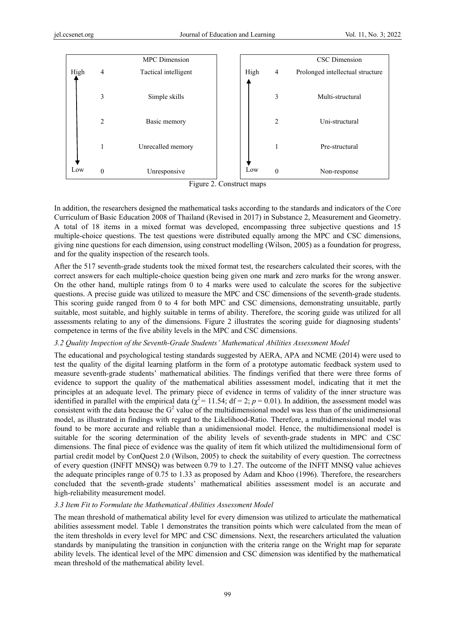

Figure 2. Construct maps

In addition, the researchers designed the mathematical tasks according to the standards and indicators of the Core Curriculum of Basic Education 2008 of Thailand (Revised in 2017) in Substance 2, Measurement and Geometry. A total of 18 items in a mixed format was developed, encompassing three subjective questions and 15 multiple-choice questions. The test questions were distributed equally among the MPC and CSC dimensions, giving nine questions for each dimension, using construct modelling (Wilson, 2005) as a foundation for progress, and for the quality inspection of the research tools.

After the 517 seventh-grade students took the mixed format test, the researchers calculated their scores, with the correct answers for each multiple-choice question being given one mark and zero marks for the wrong answer. On the other hand, multiple ratings from 0 to 4 marks were used to calculate the scores for the subjective questions. A precise guide was utilized to measure the MPC and CSC dimensions of the seventh-grade students. This scoring guide ranged from 0 to 4 for both MPC and CSC dimensions, demonstrating unsuitable, partly suitable, most suitable, and highly suitable in terms of ability. Therefore, the scoring guide was utilized for all assessments relating to any of the dimensions. Figure 2 illustrates the scoring guide for diagnosing students' competence in terms of the five ability levels in the MPC and CSC dimensions.

# *3.2 Quality Inspection of the Seventh-Grade Students' Mathematical Abilities Assessment Model*

The educational and psychological testing standards suggested by AERA, APA and NCME (2014) were used to test the quality of the digital learning platform in the form of a prototype automatic feedback system used to measure seventh-grade students' mathematical abilities. The findings verified that there were three forms of evidence to support the quality of the mathematical abilities assessment model, indicating that it met the principles at an adequate level. The primary piece of evidence in terms of validity of the inner structure was identified in parallel with the empirical data ( $\chi^2$  = 11.54; df = 2; *p* = 0.01). In addition, the assessment model was consistent with the data because the  $G^2$  value of the multidimensional model was less than of the unidimensional model, as illustrated in findings with regard to the Likelihood-Ratio. Therefore, a multidimensional model was found to be more accurate and reliable than a unidimensional model. Hence, the multidimensional model is suitable for the scoring determination of the ability levels of seventh-grade students in MPC and CSC dimensions. The final piece of evidence was the quality of item fit which utilized the multidimensional form of partial credit model by ConQuest 2.0 (Wilson, 2005) to check the suitability of every question. The correctness of every question (INFIT MNSQ) was between 0.79 to 1.27. The outcome of the INFIT MNSQ value achieves the adequate principles range of 0.75 to 1.33 as proposed by Adam and Khoo (1996). Therefore, the researchers concluded that the seventh-grade students' mathematical abilities assessment model is an accurate and high-reliability measurement model.

# *3.3 Item Fit to Formulate the Mathematical Abilities Assessment Model*

The mean threshold of mathematical ability level for every dimension was utilized to articulate the mathematical abilities assessment model. Table 1 demonstrates the transition points which were calculated from the mean of the item thresholds in every level for MPC and CSC dimensions. Next, the researchers articulated the valuation standards by manipulating the transition in conjunction with the criteria range on the Wright map for separate ability levels. The identical level of the MPC dimension and CSC dimension was identified by the mathematical mean threshold of the mathematical ability level.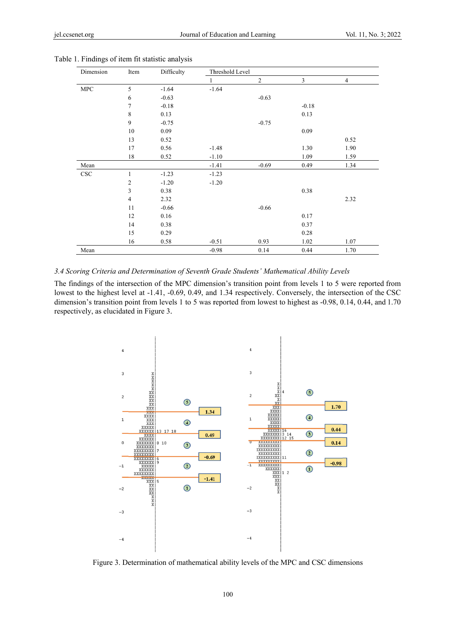| Dimension   | Item           | Difficulty | Threshold Level |                |         |                |  |
|-------------|----------------|------------|-----------------|----------------|---------|----------------|--|
|             |                |            | 1               | $\overline{c}$ | 3       | $\overline{4}$ |  |
| ${\rm MPC}$ | 5              | $-1.64$    | $-1.64$         |                |         |                |  |
|             | 6              | $-0.63$    |                 | $-0.63$        |         |                |  |
|             | $\tau$         | $-0.18$    |                 |                | $-0.18$ |                |  |
|             | 8              | 0.13       |                 |                | 0.13    |                |  |
|             | 9              | $-0.75$    |                 | $-0.75$        |         |                |  |
|             | 10             | 0.09       |                 |                | 0.09    |                |  |
|             | 13             | 0.52       |                 |                |         | 0.52           |  |
|             | 17             | 0.56       | $-1.48$         |                | 1.30    | 1.90           |  |
|             | 18             | 0.52       | $-1.10$         |                | 1.09    | 1.59           |  |
| Mean        |                |            | $-1.41$         | $-0.69$        | 0.49    | 1.34           |  |
| CSC         | 1              | $-1.23$    | $-1.23$         |                |         |                |  |
|             | $\overline{c}$ | $-1.20$    | $-1.20$         |                |         |                |  |
|             | 3              | 0.38       |                 |                | 0.38    |                |  |
|             | $\overline{4}$ | 2.32       |                 |                |         | 2.32           |  |
|             | 11             | $-0.66$    |                 | $-0.66$        |         |                |  |
|             | 12             | 0.16       |                 |                | 0.17    |                |  |
|             | 14             | 0.38       |                 |                | 0.37    |                |  |
|             | 15             | 0.29       |                 |                | 0.28    |                |  |
|             | 16             | 0.58       | $-0.51$         | 0.93           | 1.02    | 1.07           |  |
| Mean        |                |            | $-0.98$         | 0.14           | 0.44    | 1.70           |  |

#### 3.4 Scoring Criteria and Determination of Seventh Grade Students' Mathematical Ability Levels

The findings of the intersection of the MPC dimension's transition point from levels 1 to 5 were reported from lowest to the highest level at -1.41, -0.69, 0.49, and 1.34 respectively. Conversely, the intersection of the CSC dimension's transition point from levels 1 to 5 was reported from lowest to highest as -0.98, 0.14, 0.44, and 1.70 respectively, as elucidated in Figure 3.



Figure 3. Determination of mathematical ability levels of the MPC and CSC dimensions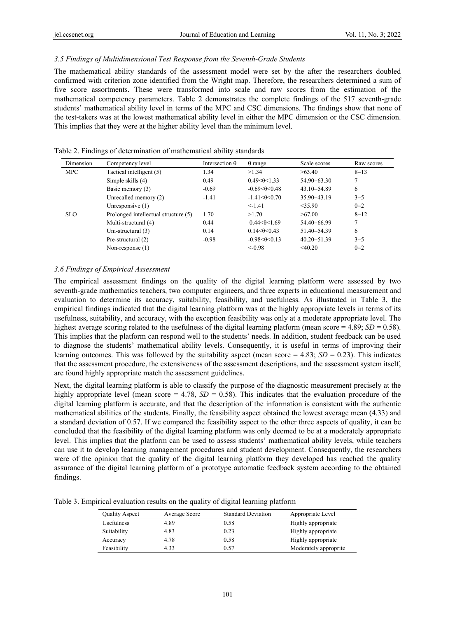## *3.5 Findings of Multidimensional Test Response from the Seventh-Grade Students*

The mathematical ability standards of the assessment model were set by the after the researchers doubled confirmed with criterion zone identified from the Wright map. Therefore, the researchers determined a sum of five score assortments. These were transformed into scale and raw scores from the estimation of the mathematical competency parameters. Table 2 demonstrates the complete findings of the 517 seventh-grade students' mathematical ability level in terms of the MPC and CSC dimensions. The findings show that none of the test-takers was at the lowest mathematical ability level in either the MPC dimension or the CSC dimension. This implies that they were at the higher ability level than the minimum level.

| Dimension  | Competency level                     | Intersection $\theta$ | $\theta$ range          | Scale scores    | Raw scores |
|------------|--------------------------------------|-----------------------|-------------------------|-----------------|------------|
| <b>MPC</b> | Tactical intelligent (5)             | 1.34                  | >1.34                   | >63.40          | $8 - 13$   |
|            | Simple skills $(4)$                  | 0.49                  | $0.49 < \theta < 1.33$  | $54.90 - 63.30$ | 7          |
|            | Basic memory (3)                     | $-0.69$               | $-0.69<\theta<0.48$     | $43.10 - 54.89$ | 6          |
|            | Unrecalled memory (2)                | $-1.41$               | $-1.41 < \theta < 0.70$ | 35.90 - 43.19   | $3 - 5$    |
|            | Unresponsive $(1)$                   |                       | $< -1.41$               | $<$ 35.90       | $0 - 2$    |
| <b>SLO</b> | Prolonged intellectual structure (5) | 1.70                  | >1.70                   | >67.00          | $8 - 12$   |
|            | Multi-structural (4)                 | 0.44                  | $0.44 < \theta < 1.69$  | 54.40-66.99     | 7          |
|            | Uni-structural $(3)$                 | 0.14                  | $0.14 < \theta < 0.43$  | 51.40-54.39     | 6          |
|            | Pre-structural (2)                   | $-0.98$               | $-0.98 < \theta < 0.13$ | $40.20 - 51.39$ | $3 - 5$    |
|            | Non-response $(1)$                   |                       | $<-0.98$                | $<$ 40.20       | $0 - 2$    |

Table 2. Findings of determination of mathematical ability standards

# *3.6 Findings of Empirical Assessment*

The empirical assessment findings on the quality of the digital learning platform were assessed by two seventh-grade mathematics teachers, two computer engineers, and three experts in educational measurement and evaluation to determine its accuracy, suitability, feasibility, and usefulness. As illustrated in Table 3, the empirical findings indicated that the digital learning platform was at the highly appropriate levels in terms of its usefulness, suitability, and accuracy, with the exception feasibility was only at a moderate appropriate level. The highest average scoring related to the usefulness of the digital learning platform (mean score =  $4.89$ ;  $SD = 0.58$ ). This implies that the platform can respond well to the students' needs. In addition, student feedback can be used to diagnose the students' mathematical ability levels. Consequently, it is useful in terms of improving their learning outcomes. This was followed by the suitability aspect (mean score  $= 4.83$ ; *SD* = 0.23). This indicates that the assessment procedure, the extensiveness of the assessment descriptions, and the assessment system itself, are found highly appropriate match the assessment guidelines.

Next, the digital learning platform is able to classify the purpose of the diagnostic measurement precisely at the highly appropriate level (mean score  $= 4.78$ ,  $SD = 0.58$ ). This indicates that the evaluation procedure of the digital learning platform is accurate, and that the description of the information is consistent with the authentic mathematical abilities of the students. Finally, the feasibility aspect obtained the lowest average mean (4.33) and a standard deviation of 0.57. If we compared the feasibility aspect to the other three aspects of quality, it can be concluded that the feasibility of the digital learning platform was only deemed to be at a moderately appropriate level. This implies that the platform can be used to assess students' mathematical ability levels, while teachers can use it to develop learning management procedures and student development. Consequently, the researchers were of the opinion that the quality of the digital learning platform they developed has reached the quality assurance of the digital learning platform of a prototype automatic feedback system according to the obtained findings.

Table 3. Empirical evaluation results on the quality of digital learning platform

| <b>Quality Aspect</b> | Average Score | <b>Standard Deviation</b> | Appropriate Level     |
|-----------------------|---------------|---------------------------|-----------------------|
| <b>Usefulness</b>     | 4.89          | 0.58                      | Highly appropriate    |
| Suitability           | 4.83          | 0.23                      | Highly appropriate    |
| Accuracy              | 4.78          | 0.58                      | Highly appropriate    |
| Feasibility           | 4.33          | 0.57                      | Moderately approprite |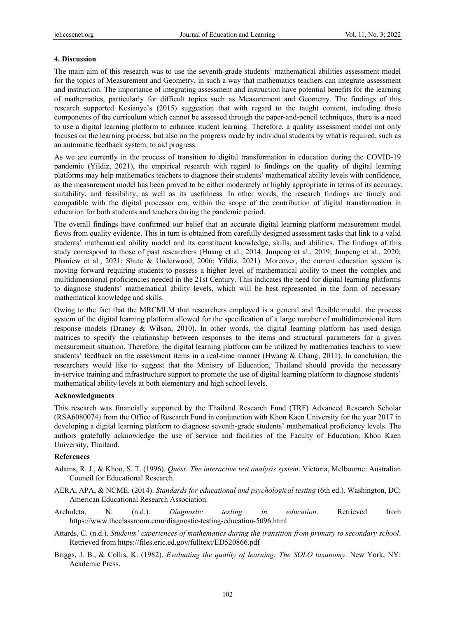## **4. Discussion**

The main aim of this research was to use the seventh-grade students' mathematical abilities assessment model for the topics of Measurement and Geometry, in such a way that mathematics teachers can integrate assessment and instruction. The importance of integrating assessment and instruction have potential benefits for the learning of mathematics, particularly for difficult topics such as Measurement and Geometry. The findings of this research supported Kesianye's (2015) suggestion that with regard to the taught content, including those components of the curriculum which cannot be assessed through the paper-and-pencil techniques, there is a need to use a digital learning platform to enhance student learning. Therefore, a quality assessment model not only focuses on the learning process, but also on the progress made by individual students by what is required, such as an automatic feedback system, to aid progress.

As we are currently in the process of transition to digital transformation in education during the COVID-19 pandemic (Yildiz, 2021), the empirical research with regard to findings on the quality of digital learning platforms may help mathematics teachers to diagnose their students' mathematical ability levels with confidence, as the measurement model has been proved to be either moderately or highly appropriate in terms of its accuracy, suitability, and feasibility, as well as its usefulness. In other words, the research findings are timely and compatible with the digital processor era, within the scope of the contribution of digital transformation in education for both students and teachers during the pandemic period.

The overall findings have confirmed our belief that an accurate digital learning platform measurement model flows from quality evidence. This in turn is obtained from carefully designed assessment tasks that link to a valid students' mathematical ability model and its constituent knowledge, skills, and abilities. The findings of this study correspond to those of past researchers (Huang et al., 2014; Junpeng et al., 2019; Junpeng et al., 2020; Phaniew et al., 2021; Shute & Underwood, 2006; Yildiz, 2021). Moreover, the current education system is moving forward requiring students to possess a higher level of mathematical ability to meet the complex and multidimensional proficiencies needed in the 21st Century. This indicates the need for digital learning platforms to diagnose students' mathematical ability levels, which will be best represented in the form of necessary mathematical knowledge and skills.

Owing to the fact that the MRCMLM that researchers employed is a general and flexible model, the process system of the digital learning platform allowed for the specification of a large number of multidimensional item response models (Draney & Wilson, 2010). In other words, the digital learning platform has used design matrices to specify the relationship between responses to the items and structural parameters for a given measurement situation. Therefore, the digital learning platform can be utilized by mathematics teachers to view students' feedback on the assessment items in a real-time manner (Hwang & Chang, 2011). In conclusion, the researchers would like to suggest that the Ministry of Education, Thailand should provide the necessary in-service training and infrastructure support to promote the use of digital learning platform to diagnose students' mathematical ability levels at both elementary and high school levels.

### **Acknowledgments**

This research was financially supported by the Thailand Research Fund (TRF) Advanced Research Scholar (RSA6080074) from the Office of Research Fund in conjunction with Khon Kaen University for the year 2017 in developing a digital learning platform to diagnose seventh-grade students' mathematical proficiency levels. The authors gratefully acknowledge the use of service and facilities of the Faculty of Education, Khon Kaen University, Thailand.

### **References**

- Adams, R. J., & Khoo, S. T. (1996). *Quest: The interactive test analysis system*. Victoria, Melbourne: Australian Council for Educational Research.
- AERA, APA, & NCME. (2014). *Standards for educational and psychological testing* (6th ed.). Washington, DC: American Educational Research Association.
- Archuleta, N. (n.d.). *Diagnostic testing in education*. Retrieved from https://www.theclassroom.com/diagnostic-testing-education-5096.html
- Attards, C. (n.d.). *Students' experiences of mathematics during the transition from primary to secondary school*. Retrieved from https://files.eric.ed.gov/fulltext/ED520866.pdf
- Briggs, J. B., & Collis, K. (1982). *Evaluating the quality of learning: The SOLO taxanomy*. New York, NY: Academic Press.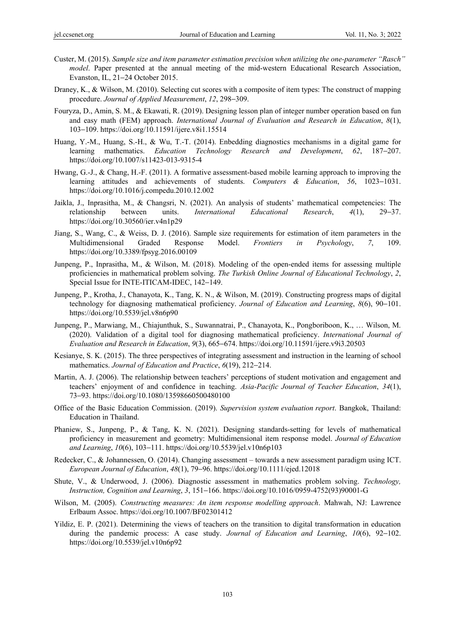- Custer, M. (2015). *Sample size and item parameter estimation precision when utilizing the one-parameter "Rasch" model*. Paper presented at the annual meeting of the mid-western Educational Research Association, Evanston, IL, 21−24 October 2015.
- Draney, K., & Wilson, M. (2010). Selecting cut scores with a composite of item types: The construct of mapping procedure. *Journal of Applied Measurement*, *12*, 298−309.
- Fouryza, D., Amin, S. M., & Ekawati, R. (2019). Designing lesson plan of integer number operation based on fun and easy math (FEM) approach. *International Journal of Evaluation and Research in Education*, *8*(1), 103−109. https://doi.org/10.11591/ijere.v8i1.15514
- Huang, Y.-M., Huang, S.-H., & Wu, T.-T. (2014). Enbedding diagnostics mechanisms in a digital game for learning mathematics. *Education Technology Research and Development*, *62*, 187−207. https://doi.org/10.1007/s11423-013-9315-4
- Hwang, G.-J., & Chang, H.-F. (2011). A formative assessment-based mobile learning approach to improving the learning attitudes and achievements of students. *Computers & Education*, *56*, 1023−1031. https://doi.org/10.1016/j.compedu.2010.12.002
- Jaikla, J., Inprasitha, M., & Changsri, N. (2021). An analysis of students' mathematical competencies: The relationship between units. *International Educational Research*, *4*(1), 29−37. https://doi.org/10.30560/ier.v4n1p29
- Jiang, S., Wang, C., & Weiss, D. J. (2016). Sample size requirements for estimation of item parameters in the Multidimensional Graded Response Model. *Frontiers in Psychology*, *7*, 109. https://doi.org/10.3389/fpsyg.2016.00109
- Junpeng, P., Inprasitha, M., & Wilson, M. (2018). Modeling of the open-ended items for assessing multiple proficiencies in mathematical problem solving. *The Turkish Online Journal of Educational Technology*, *2*, Special Issue for INTE-ITICAM-IDEC, 142−149.
- Junpeng, P., Krotha, J., Chanayota, K., Tang, K. N., & Wilson, M. (2019). Constructing progress maps of digital technology for diagnosing mathematical proficiency. *Journal of Education and Learning*, *8*(6), 90−101. https://doi.org/10.5539/jel.v8n6p90
- Junpeng, P., Marwiang, M., Chiajunthuk, S., Suwannatrai, P., Chanayota, K., Pongboriboon, K., … Wilson, M. (2020). Validation of a digital tool for diagnosing mathematical proficiency. *International Journal of Evaluation and Research in Education*, *9*(3), 665−674. https://doi.org/10.11591/ijere.v9i3.20503
- Kesianye, S. K. (2015). The three perspectives of integrating assessment and instruction in the learning of school mathematics. *Journal of Education and Practice*, *6*(19), 212−214.
- Martin, A. J. (2006). The relationship between teachers' perceptions of student motivation and engagement and teachers' enjoyment of and confidence in teaching. *Asia-Pacific Journal of Teacher Education*, *34*(1), 73−93. https://doi.org/10.1080/13598660500480100
- Office of the Basic Education Commission. (2019). *Supervision system evaluation report*. Bangkok, Thailand: Education in Thailand.
- Phaniew, S., Junpeng, P., & Tang, K. N. (2021). Designing standards-setting for levels of mathematical proficiency in measurement and geometry: Multidimensional item response model. *Journal of Education and Learning*, *10*(6), 103−111. https://doi.org/10.5539/jel.v10n6p103
- Redecker, C., & Johannessen, O. (2014). Changing assessment towards a new assessment paradigm using ICT. *European Journal of Education*, *48*(1), 79−96. https://doi.org/10.1111/ejed.12018
- Shute, V., & Underwood, J. (2006). Diagnostic assessment in mathematics problem solving. *Technology, Instruction, Cognition and Learning*, *3*, 151−166. https://doi.org/10.1016/0959-4752(93)90001-G
- Wilson, M. (2005). *Constructing measures: An item response modelling approach*. Mahwah, NJ: Lawrence Erlbaum Assoc. https://doi.org/10.1007/BF02301412
- Yildiz, E. P. (2021). Determining the views of teachers on the transition to digital transformation in education during the pandemic process: A case study. *Journal of Education and Learning*, *10*(6), 92−102. https://doi.org/10.5539/jel.v10n6p92